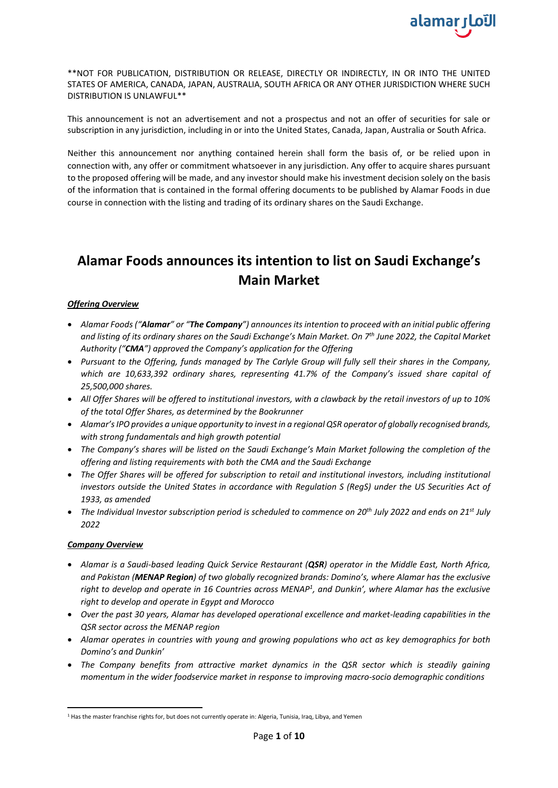

\*\*NOT FOR PUBLICATION, DISTRIBUTION OR RELEASE, DIRECTLY OR INDIRECTLY, IN OR INTO THE UNITED STATES OF AMERICA, CANADA, JAPAN, AUSTRALIA, SOUTH AFRICA OR ANY OTHER JURISDICTION WHERE SUCH DISTRIBUTION IS UNLAWFUL\*\*

This announcement is not an advertisement and not a prospectus and not an offer of securities for sale or subscription in any jurisdiction, including in or into the United States, Canada, Japan, Australia or South Africa.

Neither this announcement nor anything contained herein shall form the basis of, or be relied upon in connection with, any offer or commitment whatsoever in any jurisdiction. Any offer to acquire shares pursuant to the proposed offering will be made, and any investor should make his investment decision solely on the basis of the information that is contained in the formal offering documents to be published by Alamar Foods in due course in connection with the listing and trading of its ordinary shares on the Saudi Exchange.

# **Alamar Foods announces its intention to list on Saudi Exchange's Main Market**

## *Offering Overview*

- *Alamar Foods ("Alamar" or "The Company") announces its intention to proceed with an initial public offering and listing of its ordinary shares on the Saudi Exchange's Main Market. On 7th June 2022, the Capital Market Authority ("CMA") approved the Company's application for the Offering*
- *Pursuant to the Offering, funds managed by The Carlyle Group will fully sell their shares in the Company, which are 10,633,392 ordinary shares, representing 41.7% of the Company's issued share capital of 25,500,000 shares.*
- *All Offer Shares will be offered to institutional investors, with a clawback by the retail investors of up to 10% of the total Offer Shares, as determined by the Bookrunner*
- *Alamar's IPO provides a unique opportunity to invest in a regional QSR operator of globally recognised brands, with strong fundamentals and high growth potential*
- *The Company's shares will be listed on the Saudi Exchange's Main Market following the completion of the offering and listing requirements with both the CMA and the Saudi Exchange*
- *The Offer Shares will be offered for subscription to retail and institutional investors, including institutional investors outside the United States in accordance with Regulation S (RegS) under the US Securities Act of 1933, as amended*
- *The Individual Investor subscription period is scheduled to commence on 20th July 2022 and ends on 21st July 2022*

#### *Company Overview*

- *Alamar is a Saudi-based leading Quick Service Restaurant (QSR) operator in the Middle East, North Africa, and Pakistan (MENAP Region) of two globally recognized brands: Domino's, where Alamar has the exclusive*  right to develop and operate in 16 Countries across MENAP<sup>1</sup>, and Dunkin', where Alamar has the exclusive *right to develop and operate in Egypt and Morocco*
- *Over the past 30 years, Alamar has developed operational excellence and market-leading capabilities in the QSR sector across the MENAP region*
- *Alamar operates in countries with young and growing populations who act as key demographics for both Domino's and Dunkin'*
- *The Company benefits from attractive market dynamics in the QSR sector which is steadily gaining momentum in the wider foodservice market in response to improving macro-socio demographic conditions*

<sup>1</sup> Has the master franchise rights for, but does not currently operate in: Algeria, Tunisia, Iraq, Libya, and Yemen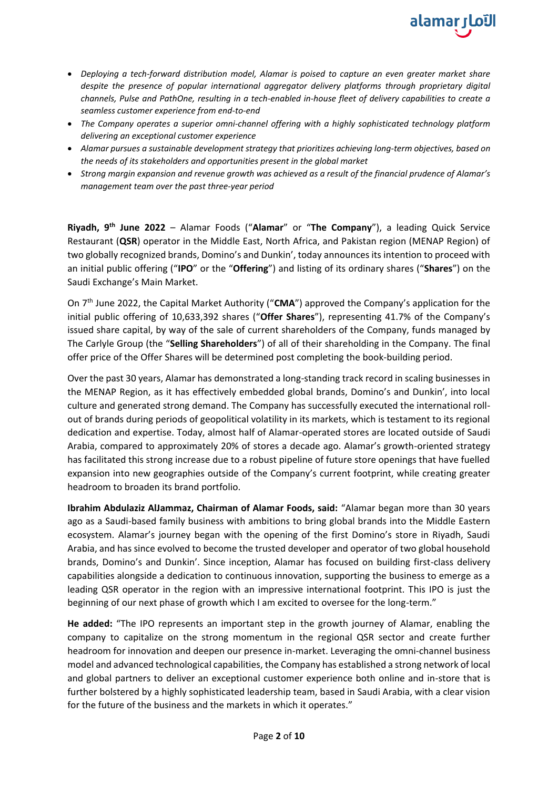

- *Deploying a tech-forward distribution model, Alamar is poised to capture an even greater market share despite the presence of popular international aggregator delivery platforms through proprietary digital channels, Pulse and PathOne, resulting in a tech-enabled in-house fleet of delivery capabilities to create a seamless customer experience from end-to-end*
- *The Company operates a superior omni-channel offering with a highly sophisticated technology platform delivering an exceptional customer experience*
- *Alamar pursues a sustainable development strategy that prioritizes achieving long-term objectives, based on the needs of its stakeholders and opportunities present in the global market*
- *Strong margin expansion and revenue growth was achieved as a result of the financial prudence of Alamar's management team over the past three-year period*

**Riyadh, 9th June 2022** – Alamar Foods ("**Alamar**" or "**The Company**"), a leading Quick Service Restaurant (**QSR**) operator in the Middle East, North Africa, and Pakistan region (MENAP Region) of two globally recognized brands, Domino's and Dunkin', today announces its intention to proceed with an initial public offering ("**IPO**" or the "**Offering**") and listing of its ordinary shares ("**Shares**") on the Saudi Exchange's Main Market.

On 7th June 2022, the Capital Market Authority ("**CMA**") approved the Company's application for the initial public offering of 10,633,392 shares ("**Offer Shares**"), representing 41.7% of the Company's issued share capital, by way of the sale of current shareholders of the Company, funds managed by The Carlyle Group (the "**Selling Shareholders**") of all of their shareholding in the Company. The final offer price of the Offer Shares will be determined post completing the book-building period.

Over the past 30 years, Alamar has demonstrated a long-standing track record in scaling businesses in the MENAP Region, as it has effectively embedded global brands, Domino's and Dunkin', into local culture and generated strong demand. The Company has successfully executed the international rollout of brands during periods of geopolitical volatility in its markets, which is testament to its regional dedication and expertise. Today, almost half of Alamar-operated stores are located outside of Saudi Arabia, compared to approximately 20% of stores a decade ago. Alamar's growth-oriented strategy has facilitated this strong increase due to a robust pipeline of future store openings that have fuelled expansion into new geographies outside of the Company's current footprint, while creating greater headroom to broaden its brand portfolio.

**Ibrahim Abdulaziz AlJammaz, Chairman of Alamar Foods, said:** "Alamar began more than 30 years ago as a Saudi-based family business with ambitions to bring global brands into the Middle Eastern ecosystem. Alamar's journey began with the opening of the first Domino's store in Riyadh, Saudi Arabia, and has since evolved to become the trusted developer and operator of two global household brands, Domino's and Dunkin'. Since inception, Alamar has focused on building first-class delivery capabilities alongside a dedication to continuous innovation, supporting the business to emerge as a leading QSR operator in the region with an impressive international footprint. This IPO is just the beginning of our next phase of growth which I am excited to oversee for the long-term."

**He added:** "The IPO represents an important step in the growth journey of Alamar, enabling the company to capitalize on the strong momentum in the regional QSR sector and create further headroom for innovation and deepen our presence in-market. Leveraging the omni-channel business model and advanced technological capabilities, the Company has established a strong network of local and global partners to deliver an exceptional customer experience both online and in-store that is further bolstered by a highly sophisticated leadership team, based in Saudi Arabia, with a clear vision for the future of the business and the markets in which it operates."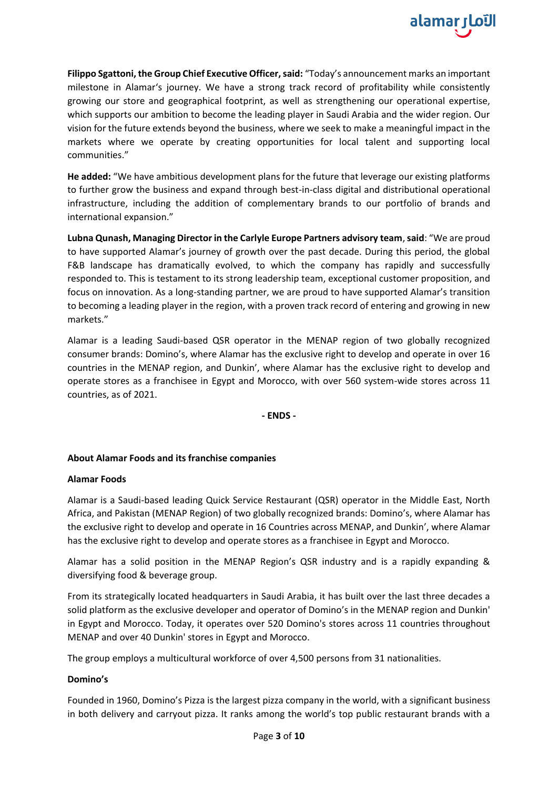

**Filippo Sgattoni, the Group Chief Executive Officer, said:** "Today's announcement marks an important milestone in Alamar's journey. We have a strong track record of profitability while consistently growing our store and geographical footprint, as well as strengthening our operational expertise, which supports our ambition to become the leading player in Saudi Arabia and the wider region. Our vision for the future extends beyond the business, where we seek to make a meaningful impact in the markets where we operate by creating opportunities for local talent and supporting local communities."

**He added:** "We have ambitious development plans for the future that leverage our existing platforms to further grow the business and expand through best-in-class digital and distributional operational infrastructure, including the addition of complementary brands to our portfolio of brands and international expansion."

**Lubna Qunash, Managing Director in the Carlyle Europe Partners advisory team**,**said**: "We are proud to have supported Alamar's journey of growth over the past decade. During this period, the global F&B landscape has dramatically evolved, to which the company has rapidly and successfully responded to. This is testament to its strong leadership team, exceptional customer proposition, and focus on innovation. As a long-standing partner, we are proud to have supported Alamar's transition to becoming a leading player in the region, with a proven track record of entering and growing in new markets."

Alamar is a leading Saudi-based QSR operator in the MENAP region of two globally recognized consumer brands: Domino's, where Alamar has the exclusive right to develop and operate in over 16 countries in the MENAP region, and Dunkin', where Alamar has the exclusive right to develop and operate stores as a franchisee in Egypt and Morocco, with over 560 system-wide stores across 11 countries, as of 2021.

**- ENDS -**

## **About Alamar Foods and its franchise companies**

## **Alamar Foods**

Alamar is a Saudi-based leading Quick Service Restaurant (QSR) operator in the Middle East, North Africa, and Pakistan (MENAP Region) of two globally recognized brands: Domino's, where Alamar has the exclusive right to develop and operate in 16 Countries across MENAP, and Dunkin', where Alamar has the exclusive right to develop and operate stores as a franchisee in Egypt and Morocco.

Alamar has a solid position in the MENAP Region's QSR industry and is a rapidly expanding & diversifying food & beverage group.

From its strategically located headquarters in Saudi Arabia, it has built over the last three decades a solid platform as the exclusive developer and operator of Domino's in the MENAP region and Dunkin' in Egypt and Morocco. Today, it operates over 520 Domino's stores across 11 countries throughout MENAP and over 40 Dunkin' stores in Egypt and Morocco.

The group employs a multicultural workforce of over 4,500 persons from 31 nationalities.

## **Domino's**

Founded in 1960, Domino's Pizza is the largest pizza company in the world, with a significant business in both delivery and carryout pizza. It ranks among the world's top public restaurant brands with a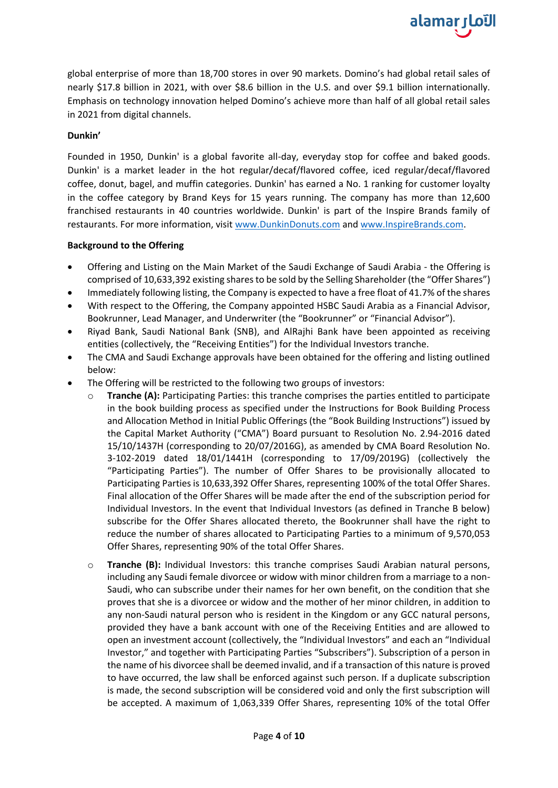global enterprise of more than 18,700 stores in over 90 markets. Domino's had global retail sales of nearly \$17.8 billion in 2021, with over \$8.6 billion in the U.S. and over \$9.1 billion internationally. Emphasis on technology innovation helped Domino's achieve more than half of all global retail sales in 2021 from digital channels.

alamar الآما

## **Dunkin'**

Founded in 1950, Dunkin' is a global favorite all-day, everyday stop for coffee and baked goods. Dunkin' is a market leader in the hot regular/decaf/flavored coffee, iced regular/decaf/flavored coffee, donut, bagel, and muffin categories. Dunkin' has earned a No. 1 ranking for customer loyalty in the coffee category by Brand Keys for 15 years running. The company has more than 12,600 franchised restaurants in 40 countries worldwide. Dunkin' is part of the Inspire Brands family of restaurants. For more information, visit [www.DunkinDonuts.com](http://www.dunkindonuts.com/) and [www.InspireBrands.com.](http://www.inspirebrands.com/)

## **Background to the Offering**

- Offering and Listing on the Main Market of the Saudi Exchange of Saudi Arabia the Offering is comprised of 10,633,392 existing shares to be sold by the Selling Shareholder (the "Offer Shares")
- Immediately following listing, the Company is expected to have a free float of 41.7% of the shares
- With respect to the Offering, the Company appointed HSBC Saudi Arabia as a Financial Advisor, Bookrunner, Lead Manager, and Underwriter (the "Bookrunner" or "Financial Advisor").
- Riyad Bank, Saudi National Bank (SNB), and AlRajhi Bank have been appointed as receiving entities (collectively, the "Receiving Entities") for the Individual Investors tranche.
- The CMA and Saudi Exchange approvals have been obtained for the offering and listing outlined below:
- The Offering will be restricted to the following two groups of investors:
	- **Tranche (A):** Participating Parties: this tranche comprises the parties entitled to participate in the book building process as specified under the Instructions for Book Building Process and Allocation Method in Initial Public Offerings (the "Book Building Instructions") issued by the Capital Market Authority ("CMA") Board pursuant to Resolution No. 2.94-2016 dated 15/10/1437H (corresponding to 20/07/2016G), as amended by CMA Board Resolution No. 3-102-2019 dated 18/01/1441H (corresponding to 17/09/2019G) (collectively the "Participating Parties"). The number of Offer Shares to be provisionally allocated to Participating Parties is 10,633,392 Offer Shares, representing 100% of the total Offer Shares. Final allocation of the Offer Shares will be made after the end of the subscription period for Individual Investors. In the event that Individual Investors (as defined in Tranche B below) subscribe for the Offer Shares allocated thereto, the Bookrunner shall have the right to reduce the number of shares allocated to Participating Parties to a minimum of 9,570,053 Offer Shares, representing 90% of the total Offer Shares.
	- o **Tranche (B):** Individual Investors: this tranche comprises Saudi Arabian natural persons, including any Saudi female divorcee or widow with minor children from a marriage to a non-Saudi, who can subscribe under their names for her own benefit, on the condition that she proves that she is a divorcee or widow and the mother of her minor children, in addition to any non-Saudi natural person who is resident in the Kingdom or any GCC natural persons, provided they have a bank account with one of the Receiving Entities and are allowed to open an investment account (collectively, the "Individual Investors" and each an "Individual Investor," and together with Participating Parties "Subscribers"). Subscription of a person in the name of his divorcee shall be deemed invalid, and if a transaction of this nature is proved to have occurred, the law shall be enforced against such person. If a duplicate subscription is made, the second subscription will be considered void and only the first subscription will be accepted. A maximum of 1,063,339 Offer Shares, representing 10% of the total Offer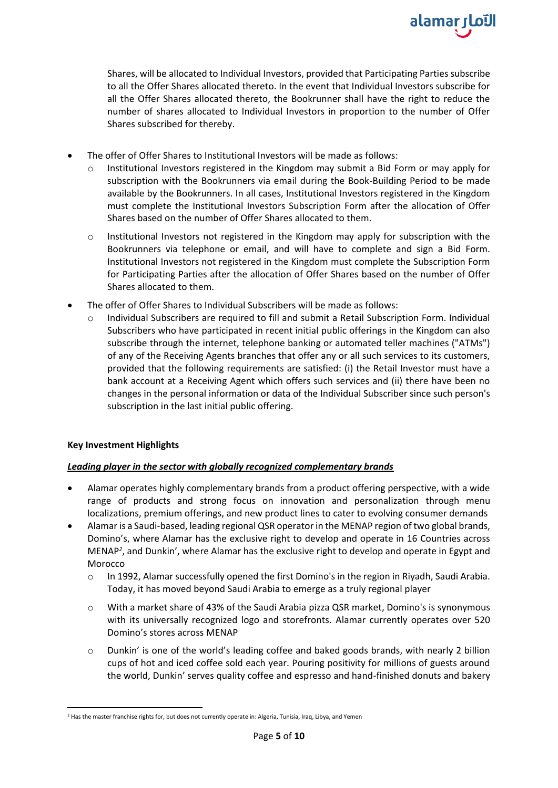

Shares, will be allocated to Individual Investors, provided that Participating Parties subscribe to all the Offer Shares allocated thereto. In the event that Individual Investors subscribe for all the Offer Shares allocated thereto, the Bookrunner shall have the right to reduce the number of shares allocated to Individual Investors in proportion to the number of Offer Shares subscribed for thereby.

- The offer of Offer Shares to Institutional Investors will be made as follows:
	- $\circ$  Institutional Investors registered in the Kingdom may submit a Bid Form or may apply for subscription with the Bookrunners via email during the Book-Building Period to be made available by the Bookrunners. In all cases, Institutional Investors registered in the Kingdom must complete the Institutional Investors Subscription Form after the allocation of Offer Shares based on the number of Offer Shares allocated to them.
	- o Institutional Investors not registered in the Kingdom may apply for subscription with the Bookrunners via telephone or email, and will have to complete and sign a Bid Form. Institutional Investors not registered in the Kingdom must complete the Subscription Form for Participating Parties after the allocation of Offer Shares based on the number of Offer Shares allocated to them.
- The offer of Offer Shares to Individual Subscribers will be made as follows:
	- o Individual Subscribers are required to fill and submit a Retail Subscription Form. Individual Subscribers who have participated in recent initial public offerings in the Kingdom can also subscribe through the internet, telephone banking or automated teller machines ("ATMs") of any of the Receiving Agents branches that offer any or all such services to its customers, provided that the following requirements are satisfied: (i) the Retail Investor must have a bank account at a Receiving Agent which offers such services and (ii) there have been no changes in the personal information or data of the Individual Subscriber since such person's subscription in the last initial public offering.

## **Key Investment Highlights**

## *Leading player in the sector with globally recognized complementary brands*

- Alamar operates highly complementary brands from a product offering perspective, with a wide range of products and strong focus on innovation and personalization through menu localizations, premium offerings, and new product lines to cater to evolving consumer demands
- Alamar is a Saudi-based, leading regional QSR operator in the MENAP region of two global brands, Domino's, where Alamar has the exclusive right to develop and operate in 16 Countries across MENAP*<sup>2</sup>* , and Dunkin', where Alamar has the exclusive right to develop and operate in Egypt and Morocco
	- o In 1992, Alamar successfully opened the first Domino's in the region in Riyadh, Saudi Arabia. Today, it has moved beyond Saudi Arabia to emerge as a truly regional player
	- o With a market share of 43% of the Saudi Arabia pizza QSR market, Domino's is synonymous with its universally recognized logo and storefronts. Alamar currently operates over 520 Domino's stores across MENAP
	- $\circ$  Dunkin' is one of the world's leading coffee and baked goods brands, with nearly 2 billion cups of hot and iced coffee sold each year. Pouring positivity for millions of guests around the world, Dunkin' serves quality coffee and espresso and hand-finished donuts and bakery

<sup>2</sup> Has the master franchise rights for, but does not currently operate in: Algeria, Tunisia, Iraq, Libya, and Yemen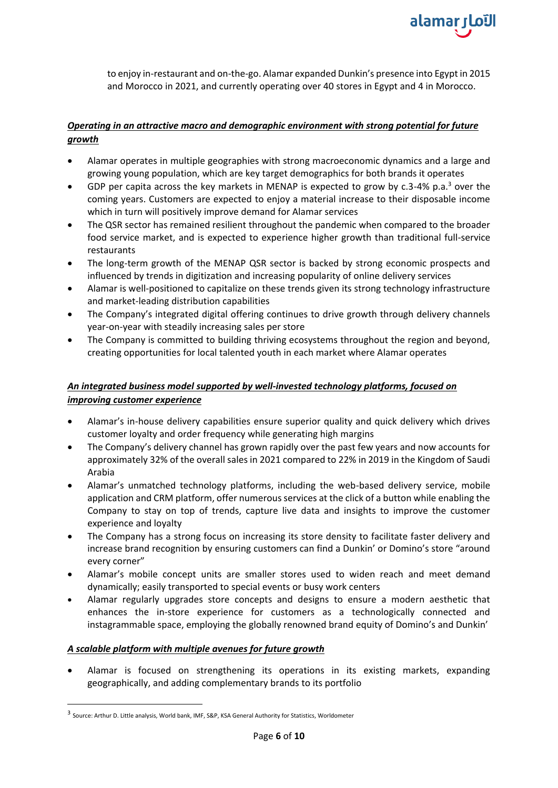

to enjoy in-restaurant and on-the-go. Alamar expanded Dunkin's presence into Egypt in 2015 and Morocco in 2021, and currently operating over 40 stores in Egypt and 4 in Morocco.

## *Operating in an attractive macro and demographic environment with strong potential for future growth*

- Alamar operates in multiple geographies with strong macroeconomic dynamics and a large and growing young population, which are key target demographics for both brands it operates
- GDP per capita across the key markets in MENAP is expected to grow by c.3-4% p.a.<sup>3</sup> over the coming years. Customers are expected to enjoy a material increase to their disposable income which in turn will positively improve demand for Alamar services
- The QSR sector has remained resilient throughout the pandemic when compared to the broader food service market, and is expected to experience higher growth than traditional full-service restaurants
- The long-term growth of the MENAP QSR sector is backed by strong economic prospects and influenced by trends in digitization and increasing popularity of online delivery services
- Alamar is well-positioned to capitalize on these trends given its strong technology infrastructure and market-leading distribution capabilities
- The Company's integrated digital offering continues to drive growth through delivery channels year-on-year with steadily increasing sales per store
- The Company is committed to building thriving ecosystems throughout the region and beyond, creating opportunities for local talented youth in each market where Alamar operates

## *An integrated business model supported by well-invested technology platforms, focused on improving customer experience*

- Alamar's in-house delivery capabilities ensure superior quality and quick delivery which drives customer loyalty and order frequency while generating high margins
- The Company's delivery channel has grown rapidly over the past few years and now accounts for approximately 32% of the overall sales in 2021 compared to 22% in 2019 in the Kingdom of Saudi Arabia
- Alamar's unmatched technology platforms, including the web-based delivery service, mobile application and CRM platform, offer numerous services at the click of a button while enabling the Company to stay on top of trends, capture live data and insights to improve the customer experience and loyalty
- The Company has a strong focus on increasing its store density to facilitate faster delivery and increase brand recognition by ensuring customers can find a Dunkin' or Domino's store "around every corner"
- Alamar's mobile concept units are smaller stores used to widen reach and meet demand dynamically; easily transported to special events or busy work centers
- Alamar regularly upgrades store concepts and designs to ensure a modern aesthetic that enhances the in-store experience for customers as a technologically connected and instagrammable space, employing the globally renowned brand equity of Domino's and Dunkin'

## *A scalable platform with multiple avenues for future growth*

• Alamar is focused on strengthening its operations in its existing markets, expanding geographically, and adding complementary brands to its portfolio

<sup>3</sup> Source: Arthur D. Little analysis, World bank, IMF, S&P, KSA General Authority for Statistics, Worldometer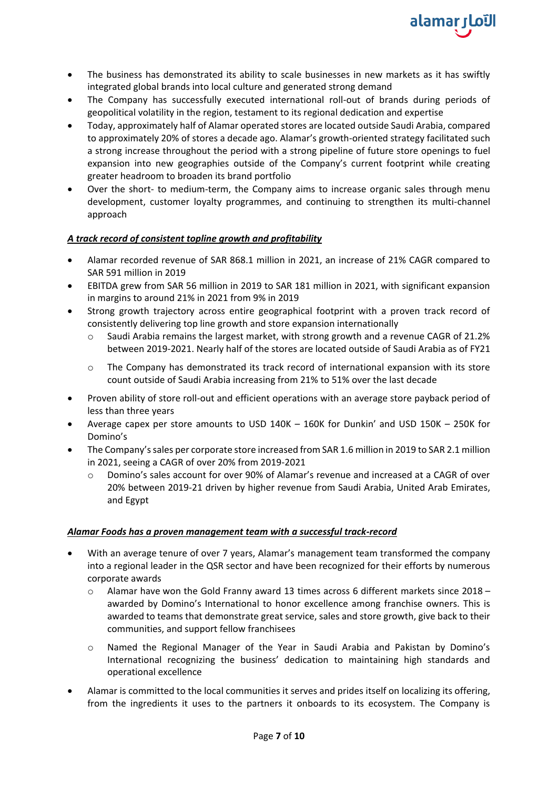

- The business has demonstrated its ability to scale businesses in new markets as it has swiftly integrated global brands into local culture and generated strong demand
- The Company has successfully executed international roll-out of brands during periods of geopolitical volatility in the region, testament to its regional dedication and expertise
- Today, approximately half of Alamar operated stores are located outside Saudi Arabia, compared to approximately 20% of stores a decade ago. Alamar's growth-oriented strategy facilitated such a strong increase throughout the period with a strong pipeline of future store openings to fuel expansion into new geographies outside of the Company's current footprint while creating greater headroom to broaden its brand portfolio
- Over the short- to medium-term, the Company aims to increase organic sales through menu development, customer loyalty programmes, and continuing to strengthen its multi-channel approach

## *A track record of consistent topline growth and profitability*

- Alamar recorded revenue of SAR 868.1 million in 2021, an increase of 21% CAGR compared to SAR 591 million in 2019
- EBITDA grew from SAR 56 million in 2019 to SAR 181 million in 2021, with significant expansion in margins to around 21% in 2021 from 9% in 2019
- Strong growth trajectory across entire geographical footprint with a proven track record of consistently delivering top line growth and store expansion internationally
	- o Saudi Arabia remains the largest market, with strong growth and a revenue CAGR of 21.2% between 2019-2021. Nearly half of the stores are located outside of Saudi Arabia as of FY21
	- $\circ$  The Company has demonstrated its track record of international expansion with its store count outside of Saudi Arabia increasing from 21% to 51% over the last decade
- Proven ability of store roll-out and efficient operations with an average store payback period of less than three years
- Average capex per store amounts to USD 140K 160K for Dunkin' and USD 150K 250K for Domino's
- The Company's sales per corporate store increased from SAR 1.6 million in 2019 to SAR 2.1 million in 2021, seeing a CAGR of over 20% from 2019-2021
	- o Domino's sales account for over 90% of Alamar's revenue and increased at a CAGR of over 20% between 2019-21 driven by higher revenue from Saudi Arabia, United Arab Emirates, and Egypt

## *Alamar Foods has a proven management team with a successful track-record*

- With an average tenure of over 7 years, Alamar's management team transformed the company into a regional leader in the QSR sector and have been recognized for their efforts by numerous corporate awards
	- $\circ$  Alamar have won the Gold Franny award 13 times across 6 different markets since 2018 awarded by Domino's International to honor excellence among franchise owners. This is awarded to teams that demonstrate great service, sales and store growth, give back to their communities, and support fellow franchisees
	- o Named the Regional Manager of the Year in Saudi Arabia and Pakistan by Domino's International recognizing the business' dedication to maintaining high standards and operational excellence
- Alamar is committed to the local communities it serves and prides itself on localizing its offering, from the ingredients it uses to the partners it onboards to its ecosystem. The Company is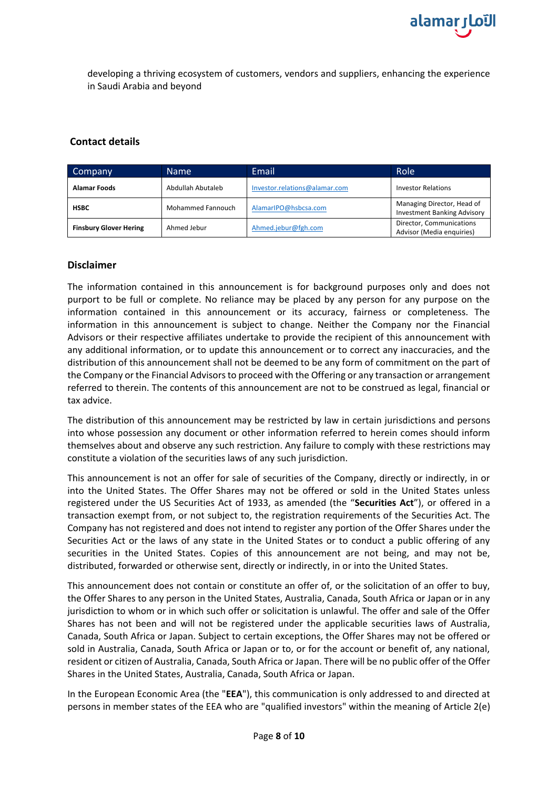

developing a thriving ecosystem of customers, vendors and suppliers, enhancing the experience in Saudi Arabia and beyond

## **Contact details**

| Company                       | <b>Name</b>       | Email                         | Role                                                             |
|-------------------------------|-------------------|-------------------------------|------------------------------------------------------------------|
| <b>Alamar Foods</b>           | Abdullah Abutaleb | Investor.relations@alamar.com | <b>Investor Relations</b>                                        |
| <b>HSBC</b>                   | Mohammed Fannouch | AlamarIPO@hsbcsa.com          | Managing Director, Head of<br><b>Investment Banking Advisory</b> |
| <b>Finsbury Glover Hering</b> | Ahmed Jebur       | Ahmed.jebur@fgh.com           | Director, Communications<br>Advisor (Media enquiries)            |

## **Disclaimer**

The information contained in this announcement is for background purposes only and does not purport to be full or complete. No reliance may be placed by any person for any purpose on the information contained in this announcement or its accuracy, fairness or completeness. The information in this announcement is subject to change. Neither the Company nor the Financial Advisors or their respective affiliates undertake to provide the recipient of this announcement with any additional information, or to update this announcement or to correct any inaccuracies, and the distribution of this announcement shall not be deemed to be any form of commitment on the part of the Company or the Financial Advisors to proceed with the Offering or any transaction or arrangement referred to therein. The contents of this announcement are not to be construed as legal, financial or tax advice.

The distribution of this announcement may be restricted by law in certain jurisdictions and persons into whose possession any document or other information referred to herein comes should inform themselves about and observe any such restriction. Any failure to comply with these restrictions may constitute a violation of the securities laws of any such jurisdiction.

This announcement is not an offer for sale of securities of the Company, directly or indirectly, in or into the United States. The Offer Shares may not be offered or sold in the United States unless registered under the US Securities Act of 1933, as amended (the "**Securities Act**"), or offered in a transaction exempt from, or not subject to, the registration requirements of the Securities Act. The Company has not registered and does not intend to register any portion of the Offer Shares under the Securities Act or the laws of any state in the United States or to conduct a public offering of any securities in the United States. Copies of this announcement are not being, and may not be, distributed, forwarded or otherwise sent, directly or indirectly, in or into the United States.

This announcement does not contain or constitute an offer of, or the solicitation of an offer to buy, the Offer Shares to any person in the United States, Australia, Canada, South Africa or Japan or in any jurisdiction to whom or in which such offer or solicitation is unlawful. The offer and sale of the Offer Shares has not been and will not be registered under the applicable securities laws of Australia, Canada, South Africa or Japan. Subject to certain exceptions, the Offer Shares may not be offered or sold in Australia, Canada, South Africa or Japan or to, or for the account or benefit of, any national, resident or citizen of Australia, Canada, South Africa or Japan. There will be no public offer of the Offer Shares in the United States, Australia, Canada, South Africa or Japan.

In the European Economic Area (the "**EEA**"), this communication is only addressed to and directed at persons in member states of the EEA who are "qualified investors" within the meaning of Article 2(e)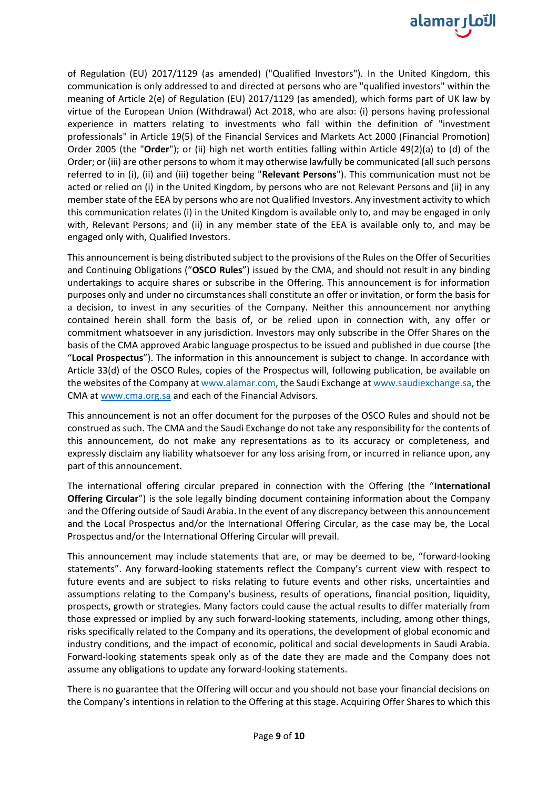

of Regulation (EU) 2017/1129 (as amended) ("Qualified Investors"). In the United Kingdom, this communication is only addressed to and directed at persons who are "qualified investors" within the meaning of Article 2(e) of Regulation (EU) 2017/1129 (as amended), which forms part of UK law by virtue of the European Union (Withdrawal) Act 2018, who are also: (i) persons having professional experience in matters relating to investments who fall within the definition of "investment professionals" in Article 19(5) of the Financial Services and Markets Act 2000 (Financial Promotion) Order 2005 (the "**Order**"); or (ii) high net worth entities falling within Article 49(2)(a) to (d) of the Order; or (iii) are other persons to whom it may otherwise lawfully be communicated (all such persons referred to in (i), (ii) and (iii) together being "**Relevant Persons**"). This communication must not be acted or relied on (i) in the United Kingdom, by persons who are not Relevant Persons and (ii) in any member state of the EEA by persons who are not Qualified Investors. Any investment activity to which this communication relates (i) in the United Kingdom is available only to, and may be engaged in only with, Relevant Persons; and (ii) in any member state of the EEA is available only to, and may be engaged only with, Qualified Investors.

This announcement is being distributed subject to the provisions of the Rules on the Offer of Securities and Continuing Obligations ("**OSCO Rules**") issued by the CMA, and should not result in any binding undertakings to acquire shares or subscribe in the Offering. This announcement is for information purposes only and under no circumstances shall constitute an offer or invitation, or form the basis for a decision, to invest in any securities of the Company. Neither this announcement nor anything contained herein shall form the basis of, or be relied upon in connection with, any offer or commitment whatsoever in any jurisdiction. Investors may only subscribe in the Offer Shares on the basis of the CMA approved Arabic language prospectus to be issued and published in due course (the "**Local Prospectus**"). The information in this announcement is subject to change. In accordance with Article 33(d) of the OSCO Rules, copies of the Prospectus will, following publication, be available on the websites of the Company at [www.alamar.com,](http://www.alamar.com/) the Saudi Exchange a[t www.saudiexchange.sa,](http://www.saudiexchange.sa/) the CMA a[t www.cma.org.sa](http://www.cma.org.sa/) and each of the Financial Advisors.

This announcement is not an offer document for the purposes of the OSCO Rules and should not be construed as such. The CMA and the Saudi Exchange do not take any responsibility for the contents of this announcement, do not make any representations as to its accuracy or completeness, and expressly disclaim any liability whatsoever for any loss arising from, or incurred in reliance upon, any part of this announcement.

The international offering circular prepared in connection with the Offering (the "**International Offering Circular**") is the sole legally binding document containing information about the Company and the Offering outside of Saudi Arabia. In the event of any discrepancy between this announcement and the Local Prospectus and/or the International Offering Circular, as the case may be, the Local Prospectus and/or the International Offering Circular will prevail.

This announcement may include statements that are, or may be deemed to be, "forward-looking statements". Any forward-looking statements reflect the Company's current view with respect to future events and are subject to risks relating to future events and other risks, uncertainties and assumptions relating to the Company's business, results of operations, financial position, liquidity, prospects, growth or strategies. Many factors could cause the actual results to differ materially from those expressed or implied by any such forward-looking statements, including, among other things, risks specifically related to the Company and its operations, the development of global economic and industry conditions, and the impact of economic, political and social developments in Saudi Arabia. Forward-looking statements speak only as of the date they are made and the Company does not assume any obligations to update any forward-looking statements.

There is no guarantee that the Offering will occur and you should not base your financial decisions on the Company's intentions in relation to the Offering at this stage. Acquiring Offer Shares to which this